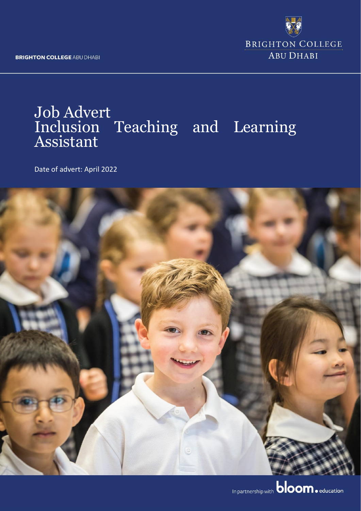

# Job Advert Inclusion Teaching and Learning Assistant

Date of advert: April 2022

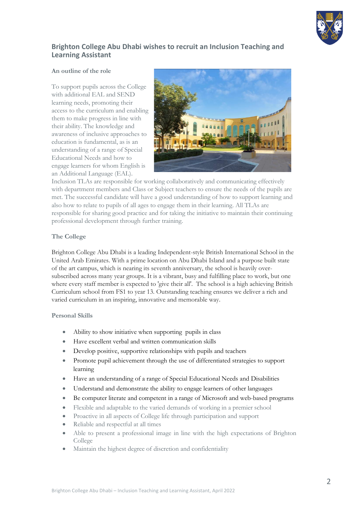

# **Brighton College Abu Dhabi wishes to recruit an Inclusion Teaching and Learning Assistant**

# **An outline of the role**

To support pupils across the College with additional EAL and SEND learning needs, promoting their access to the curriculum and enabling them to make progress in line with their ability. The knowledge and awareness of inclusive approaches to education is fundamental, as is an understanding of a range of Special Educational Needs and how to engage learners for whom English is an Additional Language (EAL).



Inclusion TLAs are responsible for working collaboratively and communicating effectively with department members and Class or Subject teachers to ensure the needs of the pupils are met. The successful candidate will have a good understanding of how to support learning and also how to relate to pupils of all ages to engage them in their learning. All TLAs are responsible for sharing good practice and for taking the initiative to maintain their continuing professional development through further training.

# **The College**

Brighton College Abu Dhabi is a leading Independent-style British International School in the United Arab Emirates. With a prime location on Abu Dhabi Island and a purpose built state of the art campus, which is nearing its seventh anniversary, the school is heavily oversubscribed across many year groups. It is a vibrant, busy and fulfilling place to work, but one where every staff member is expected to 'give their all'. The school is a high achieving British Curriculum school from FS1 to year 13. Outstanding teaching ensures we deliver a rich and varied curriculum in an inspiring, innovative and memorable way.

# **Personal Skills**

- Ability to show initiative when supporting pupils in class
- Have excellent verbal and written communication skills
- Develop positive, supportive relationships with pupils and teachers
- Promote pupil achievement through the use of differentiated strategies to support learning
- Have an understanding of a range of Special Educational Needs and Disabilities
- Understand and demonstrate the ability to engage learners of other languages
- Be computer literate and competent in a range of Microsoft and web-based programs
- Flexible and adaptable to the varied demands of working in a premier school
- Proactive in all aspects of College life through participation and support
- Reliable and respectful at all times
- Able to present a professional image in line with the high expectations of Brighton College
- Maintain the highest degree of discretion and confidentiality